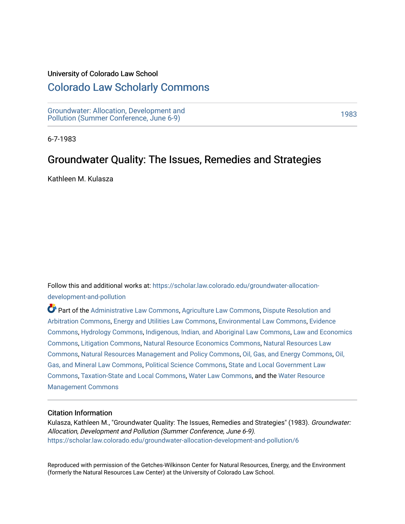### University of Colorado Law School

# [Colorado Law Scholarly Commons](https://scholar.law.colorado.edu/)

[Groundwater: Allocation, Development and](https://scholar.law.colorado.edu/groundwater-allocation-development-and-pollution)  Groundwater. Anocation, Development and<br>Pollution (Summer Conference, June 6-9)

6-7-1983

# Groundwater Quality: The Issues, Remedies and Strategies

Kathleen M. Kulasza

Follow this and additional works at: [https://scholar.law.colorado.edu/groundwater-allocation](https://scholar.law.colorado.edu/groundwater-allocation-development-and-pollution?utm_source=scholar.law.colorado.edu%2Fgroundwater-allocation-development-and-pollution%2F6&utm_medium=PDF&utm_campaign=PDFCoverPages)[development-and-pollution](https://scholar.law.colorado.edu/groundwater-allocation-development-and-pollution?utm_source=scholar.law.colorado.edu%2Fgroundwater-allocation-development-and-pollution%2F6&utm_medium=PDF&utm_campaign=PDFCoverPages)

Part of the [Administrative Law Commons,](http://network.bepress.com/hgg/discipline/579?utm_source=scholar.law.colorado.edu%2Fgroundwater-allocation-development-and-pollution%2F6&utm_medium=PDF&utm_campaign=PDFCoverPages) [Agriculture Law Commons](http://network.bepress.com/hgg/discipline/581?utm_source=scholar.law.colorado.edu%2Fgroundwater-allocation-development-and-pollution%2F6&utm_medium=PDF&utm_campaign=PDFCoverPages), [Dispute Resolution and](http://network.bepress.com/hgg/discipline/890?utm_source=scholar.law.colorado.edu%2Fgroundwater-allocation-development-and-pollution%2F6&utm_medium=PDF&utm_campaign=PDFCoverPages) [Arbitration Commons](http://network.bepress.com/hgg/discipline/890?utm_source=scholar.law.colorado.edu%2Fgroundwater-allocation-development-and-pollution%2F6&utm_medium=PDF&utm_campaign=PDFCoverPages), [Energy and Utilities Law Commons](http://network.bepress.com/hgg/discipline/891?utm_source=scholar.law.colorado.edu%2Fgroundwater-allocation-development-and-pollution%2F6&utm_medium=PDF&utm_campaign=PDFCoverPages), [Environmental Law Commons,](http://network.bepress.com/hgg/discipline/599?utm_source=scholar.law.colorado.edu%2Fgroundwater-allocation-development-and-pollution%2F6&utm_medium=PDF&utm_campaign=PDFCoverPages) [Evidence](http://network.bepress.com/hgg/discipline/601?utm_source=scholar.law.colorado.edu%2Fgroundwater-allocation-development-and-pollution%2F6&utm_medium=PDF&utm_campaign=PDFCoverPages)  [Commons](http://network.bepress.com/hgg/discipline/601?utm_source=scholar.law.colorado.edu%2Fgroundwater-allocation-development-and-pollution%2F6&utm_medium=PDF&utm_campaign=PDFCoverPages), [Hydrology Commons](http://network.bepress.com/hgg/discipline/1054?utm_source=scholar.law.colorado.edu%2Fgroundwater-allocation-development-and-pollution%2F6&utm_medium=PDF&utm_campaign=PDFCoverPages), [Indigenous, Indian, and Aboriginal Law Commons](http://network.bepress.com/hgg/discipline/894?utm_source=scholar.law.colorado.edu%2Fgroundwater-allocation-development-and-pollution%2F6&utm_medium=PDF&utm_campaign=PDFCoverPages), [Law and Economics](http://network.bepress.com/hgg/discipline/612?utm_source=scholar.law.colorado.edu%2Fgroundwater-allocation-development-and-pollution%2F6&utm_medium=PDF&utm_campaign=PDFCoverPages)  [Commons](http://network.bepress.com/hgg/discipline/612?utm_source=scholar.law.colorado.edu%2Fgroundwater-allocation-development-and-pollution%2F6&utm_medium=PDF&utm_campaign=PDFCoverPages), [Litigation Commons,](http://network.bepress.com/hgg/discipline/910?utm_source=scholar.law.colorado.edu%2Fgroundwater-allocation-development-and-pollution%2F6&utm_medium=PDF&utm_campaign=PDFCoverPages) [Natural Resource Economics Commons,](http://network.bepress.com/hgg/discipline/169?utm_source=scholar.law.colorado.edu%2Fgroundwater-allocation-development-and-pollution%2F6&utm_medium=PDF&utm_campaign=PDFCoverPages) [Natural Resources Law](http://network.bepress.com/hgg/discipline/863?utm_source=scholar.law.colorado.edu%2Fgroundwater-allocation-development-and-pollution%2F6&utm_medium=PDF&utm_campaign=PDFCoverPages)  [Commons](http://network.bepress.com/hgg/discipline/863?utm_source=scholar.law.colorado.edu%2Fgroundwater-allocation-development-and-pollution%2F6&utm_medium=PDF&utm_campaign=PDFCoverPages), [Natural Resources Management and Policy Commons,](http://network.bepress.com/hgg/discipline/170?utm_source=scholar.law.colorado.edu%2Fgroundwater-allocation-development-and-pollution%2F6&utm_medium=PDF&utm_campaign=PDFCoverPages) [Oil, Gas, and Energy Commons,](http://network.bepress.com/hgg/discipline/171?utm_source=scholar.law.colorado.edu%2Fgroundwater-allocation-development-and-pollution%2F6&utm_medium=PDF&utm_campaign=PDFCoverPages) [Oil,](http://network.bepress.com/hgg/discipline/864?utm_source=scholar.law.colorado.edu%2Fgroundwater-allocation-development-and-pollution%2F6&utm_medium=PDF&utm_campaign=PDFCoverPages)  [Gas, and Mineral Law Commons](http://network.bepress.com/hgg/discipline/864?utm_source=scholar.law.colorado.edu%2Fgroundwater-allocation-development-and-pollution%2F6&utm_medium=PDF&utm_campaign=PDFCoverPages), [Political Science Commons](http://network.bepress.com/hgg/discipline/386?utm_source=scholar.law.colorado.edu%2Fgroundwater-allocation-development-and-pollution%2F6&utm_medium=PDF&utm_campaign=PDFCoverPages), [State and Local Government Law](http://network.bepress.com/hgg/discipline/879?utm_source=scholar.law.colorado.edu%2Fgroundwater-allocation-development-and-pollution%2F6&utm_medium=PDF&utm_campaign=PDFCoverPages) [Commons](http://network.bepress.com/hgg/discipline/879?utm_source=scholar.law.colorado.edu%2Fgroundwater-allocation-development-and-pollution%2F6&utm_medium=PDF&utm_campaign=PDFCoverPages), [Taxation-State and Local Commons](http://network.bepress.com/hgg/discipline/882?utm_source=scholar.law.colorado.edu%2Fgroundwater-allocation-development-and-pollution%2F6&utm_medium=PDF&utm_campaign=PDFCoverPages), [Water Law Commons,](http://network.bepress.com/hgg/discipline/887?utm_source=scholar.law.colorado.edu%2Fgroundwater-allocation-development-and-pollution%2F6&utm_medium=PDF&utm_campaign=PDFCoverPages) and the [Water Resource](http://network.bepress.com/hgg/discipline/1057?utm_source=scholar.law.colorado.edu%2Fgroundwater-allocation-development-and-pollution%2F6&utm_medium=PDF&utm_campaign=PDFCoverPages) [Management Commons](http://network.bepress.com/hgg/discipline/1057?utm_source=scholar.law.colorado.edu%2Fgroundwater-allocation-development-and-pollution%2F6&utm_medium=PDF&utm_campaign=PDFCoverPages)

## Citation Information

Kulasza, Kathleen M., "Groundwater Quality: The Issues, Remedies and Strategies" (1983). Groundwater: Allocation, Development and Pollution (Summer Conference, June 6-9). [https://scholar.law.colorado.edu/groundwater-allocation-development-and-pollution/6](https://scholar.law.colorado.edu/groundwater-allocation-development-and-pollution/6?utm_source=scholar.law.colorado.edu%2Fgroundwater-allocation-development-and-pollution%2F6&utm_medium=PDF&utm_campaign=PDFCoverPages)

Reproduced with permission of the Getches-Wilkinson Center for Natural Resources, Energy, and the Environment (formerly the Natural Resources Law Center) at the University of Colorado Law School.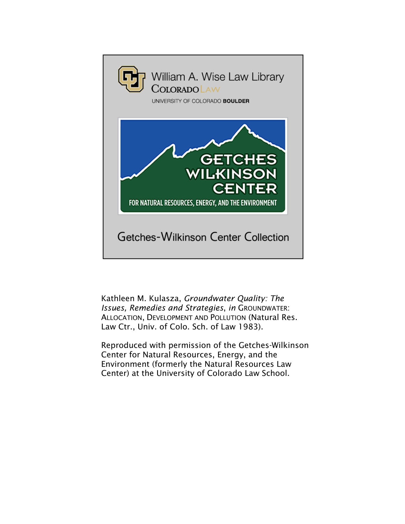

Kathleen M. Kulasza, *Groundwater Quality: The Issues, Remedies and Strategies*, *in* GROUNDWATER: ALLOCATION, DEVELOPMENT AND POLLUTION (Natural Res. Law Ctr., Univ. of Colo. Sch. of Law 1983).

Reproduced with permission of the Getches-Wilkinson Center for Natural Resources, Energy, and the Environment (formerly the Natural Resources Law Center) at the University of Colorado Law School.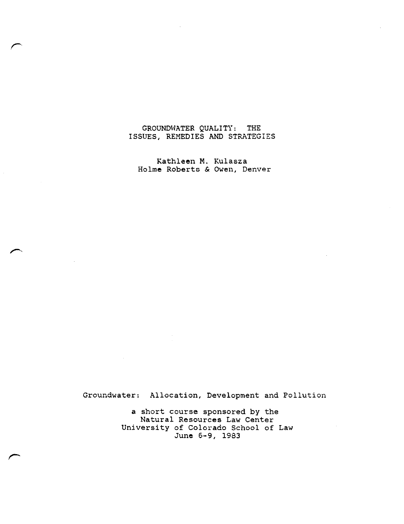## GROUNDWATER QUALITY: THE ISSUES, REMEDIES AND STRATEGIES

 $\overline{a}$ 

Kathleen M. Kulasza Holme Roberts & Owen, Denver

Groundwater: Allocation, Development and Pollution

a short course sponsored by the Natural Resources Law Center University of Colorado School of Law June 6-9, 1983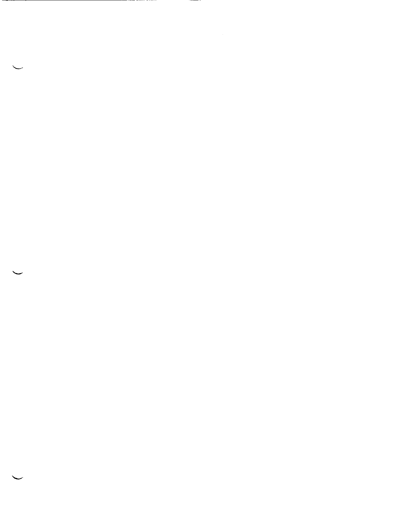\_\_\_\_\_\_\_\_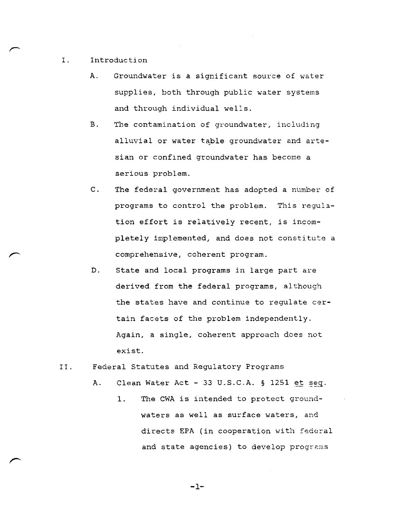#### I. Introduction

- A. Groundwater is a significant source of water supplies, both through public water systems and through individual wells.
- B. The contamination of groundwater, including alluvial or water table groundwater and artesian or confined groundwater has become a serious problem.
- C. The federal government has adopted a number of programs to control the problem. This regulation effort is relatively recent, is incompletely implemented, and does not constitute a comprehensive, coherent program.
- D. State and local programs in large part are derived from the federal programs, although the states have and continue to regulate certain facets of the problem independently. Again, a single, coherent approach does not exist.
- II. Federal Statutes and Regulatory Programs
	- A. Clean Water Act 33 U.S.C.A. § 1251 et seg.
		- 1. The CWA is intended to protect groundwaters as well as surface waters, and directs EPA (in cooperation with federal and state agencies) to develop programs

-1-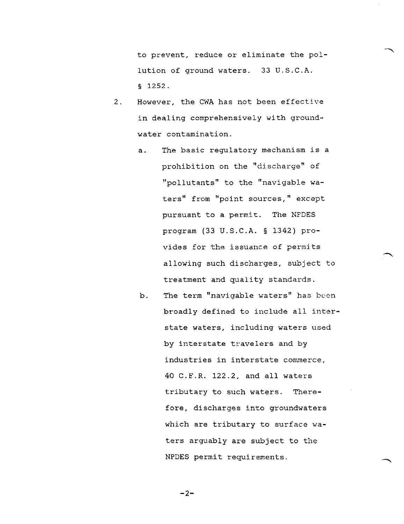to prevent, reduce or eliminate the pollution of ground waters. 33 U.S.C.A. § 1252.

- 2. However, the CWA has not been effective in dealing comprehensively with groundwater contamination.
	- a. The basic regulatory mechanism is a prohibition on the "discharge" of "pollutants" to the "navigable waters" from "point sources," except pursuant to a permit. The NPDES program (33 U.S.C.A. § 1342) provides for the issuance of permits allowing such discharges, subject to treatment and quality standards.
	- b. The term "navigable waters" has been broadly defined to include all interstate waters, including waters used by interstate travelers and by industries in interstate commerce, 40 C.F.R. 122.2, and all waters tributary to such waters. Therefore, discharges into groundwaters which are tributary to surface waters arguably are subject to the NPDES permit requirements.

 $-2-$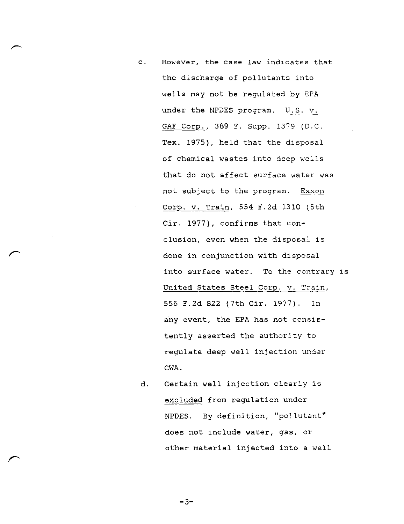- c. However, the case law indicates that the discharge of pollutants into wells may not be regulated by EPA under the NPDES program. U.S. v. GAF Corp., 389 F. Supp. 1379 (D.C. Tex. 1975), held that the disposal of chemical wastes into deep wells that do not affect surface water was not subject to the program. Exxon Corp. v. Train, 554 F.2d 1310 (5th Cir. 1977), confirms that conclusion, even when the disposal is done in conjunction with disposal into surface water. To the contrary is United States Steel Corp. v. Train, 556 F.2d 822 (7th Cir. 1977). In any event, the EPA has not consistently asserted the authority to regulate deep well injection under CWA.
- d. Certain well injection clearly is excluded from regulation under NPDES. By definition, "pollutant" does not include water, gas, or other material injected into a well

 $-3-$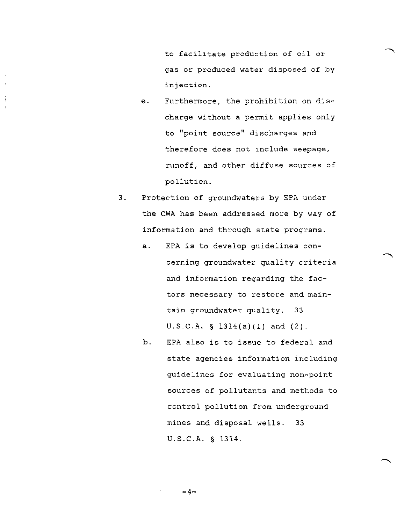to facilitate production of oil or gas or produced water disposed of by injection.

- e. Furthermore, the prohibition on discharge without a permit applies only to "point source" discharges and therefore does not include seepage, runoff, and other diffuse sources of pollution.
- 3. Protection of groundwaters by EPA under the CWA has been addressed more by way of information and through state programs.
	- a. EPA is to develop guidelines concerning groundwater quality criteria and information regarding the factors necessary to restore and maintain groundwater quality. 33 U.S.C.A. § 1314(a)(1) and (2).
	- b. EPA also is to issue to federal and state agencies information including guidelines for evaluating non-point sources of pollutants and methods to control pollution from underground mines and disposal wells. 33 U.S.C.A. § 1314.

 $-4-$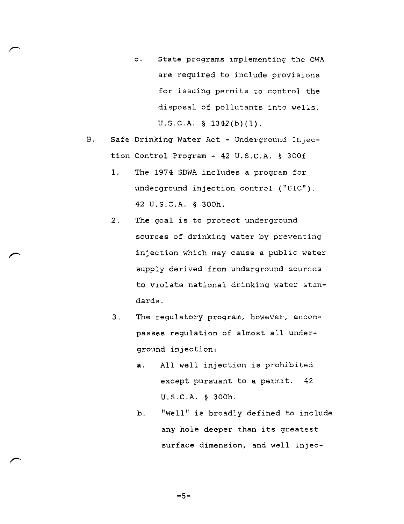- c. State programs implementing the CWA are required to include provisions for issuing permits to control the disposal of pollutants into wells. U.S.C.A. § 1342(b)(1).
- B. Safe Drinking Water Act Underground Injection Control Program - 42 U.S.C.A. § 300f
	- 1. The 1974 SDWA includes a program for underground injection control ("UIC"). 42 U.S.C.A. § 300h.
	- 2. The goal is to protect underground sources of drinking water by preventing injection which may cause a public water supply derived from underground sources to violate national drinking water standards.
	- 3. The regulatory program, however, encompasses regulation of almost all underground injection:
		- a. All well injection is prohibited except pursuant to a permit. 42 U.S.C.A. § 300h.
		- b. "Well" is broadly defined to include any hole deeper than its greatest surface dimension, and well injec-

-5-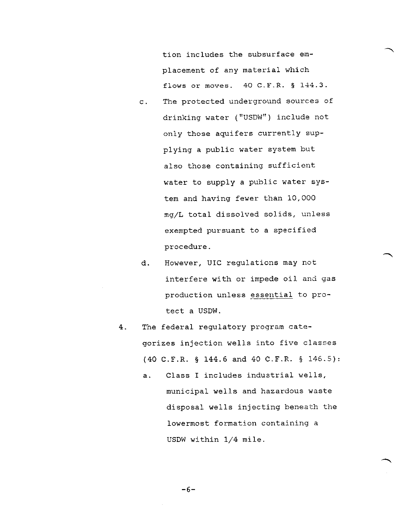tion includes the subsurface emplacement of any material which flows or moves. 40 C.F.R. § 144.3.

- c. The protected underground sources of drinking water ("USDW") include not only those aquifers currently supplying a public water system but also those containing sufficient water to supply a public water system and having fewer than 10,000 mg/L total dissolved solids, unless exempted pursuant to a specified procedure.
- d. However, UIC regulations may not interfere with or impede oil and gas production unless essential to protect a USDW.
- 4. The federal regulatory program categorizes injection wells into five classes (40 C.F.R. § 144.6 and 40 C.F.R. § 146.5):
	- a. Class I includes industrial wells, municipal wells and hazardous waste disposal wells injecting beneath the lowermost formation containing a USDW within 1/4 mile.

-6-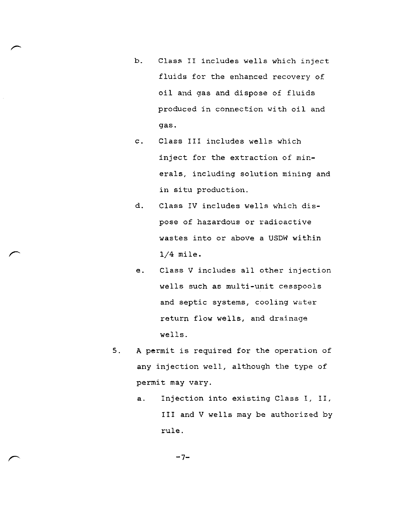- b. Class II includes wells which inject fluids for the enhanced recovery of oil and gas and dispose of fluids produced in connection with oil and gas.
- c. Class III includes wells which inject for the extraction of minerals, including solution mining and in situ production.
- d. Class IV includes wells which dispose of hazardous or radioactive wastes into or above a USDW within 1/4 mile.
- e. Class V includes all other injection wells such as multi-unit cesspools and septic systems, cooling water return flow wells, and drainage wells.
- S. A permit is required for the operation of any injection well, although the type of permit may vary.
	- a. Injection into existing Class I, II, III and V wells may be authorized by rule.

 $-7-$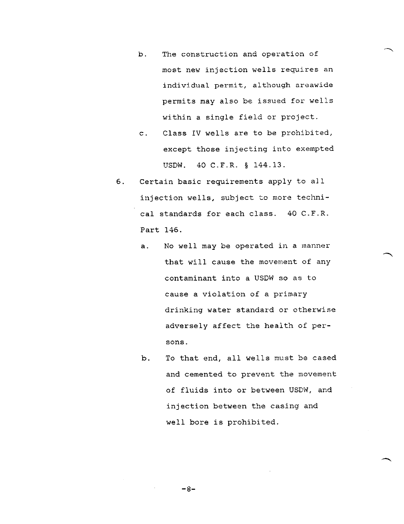- b. The construction and operation of most new injection wells requires an individual permit, although areawide permits may also be issued for wells within a single field or project.
- c. Class IV wells are to be prohibited, except those injecting into exempted USDW. 40 C.F.R. § 144.13.
- 6. Certain basic requirements apply to all injection wells, subject to more technical standards for each class. 40 C.F.R. Part 146.
	- a. No well may be operated in a manner that will cause the movement of any contaminant into a USDW so as to cause a violation of a primary drinking water standard or otherwise adversely affect the health of persons.
	- b. To that end, all wells must be cased and cemented to prevent the movement of fluids into or between USDW, and injection between the casing and well bore is prohibited.

 $-8-$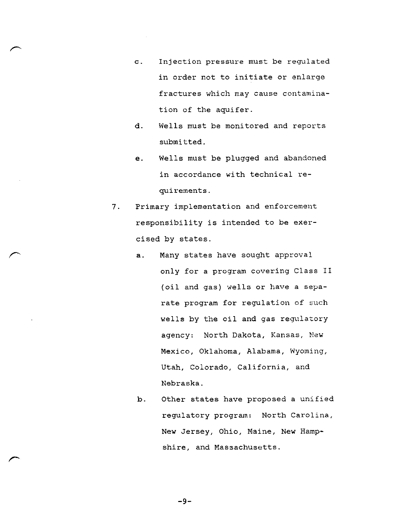- c. Injection pressure must be regulated in order not to initiate or enlarge fractures which may cause contamination of the aquifer.
- d. Wells must be monitored and reports submitted.
- e. Wells must be plugged and abandoned in accordance with technical requirements.
- 7. Primary implementation and enforcement responsibility is intended to be exercised by states.
	- a. Many states have sought approval only for a program covering Class II (oil and gas) wells or have a separate program for regulation of such wells by the oil and gas regulatory agency: North Dakota, Kansas, New Mexico, Oklahoma, Alabama, Wyoming, Utah, Colorado, California, and Nebraska.
	- b. Other states have proposed a unified regulatory program: North Carolina, New Jersey, Ohio, Maine, New Hampshire, and Massachusetts.

-9-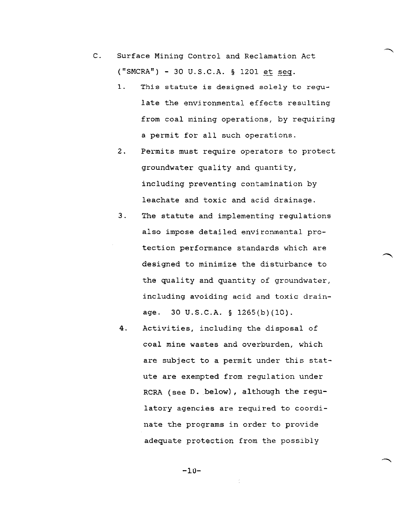- C. Surface Mining Control and Reclamation Act ("SMCRA") - 30 U.S.C.A. § 1201 et seq.
	- 1. This statute is designed solely to regulate the environmental effects resulting from coal mining operations, by requiring a permit for all such operations.
	- 2. Permits must require operators to protect groundwater quality and quantity, including preventing contamination by leachate and toxic and acid drainage.
	- 3. The statute and implementing regulations also impose detailed environmental protection performance standards which are designed to minimize the disturbance to the quality and quantity of groundwater, including avoiding acid and toxic drainage. 30 U.S.C.A. g 1265(b)(10).
	- 4. Activities, including the disposal of coal mine wastes and overburden, which are subject to a permit under this statute are exempted from regulation under RCRA (see D. below), although the regulatory agencies are required to coordinate the programs in order to provide adequate protection from the possibly

-10-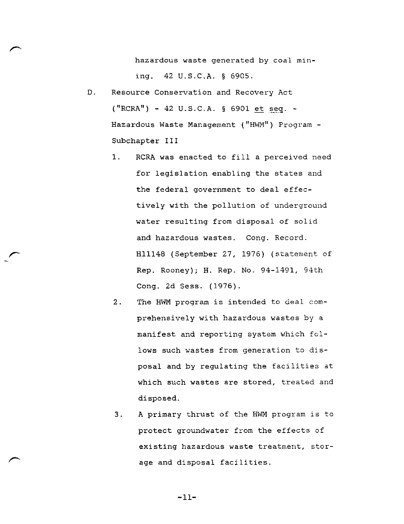hazardous waste generated by coal mining. 42 U.S.C.A. § 6905.

- D. Resource Conservation and Recovery Act ("RCRA") - 42 U.S.C.A. § 6901 et seq. - Hazardous Waste Management ("HWM") Program - Subchapter III
	- 1. RCRA was enacted to fill a perceived need for legislation enabling the states and the federal government to deal effectively with the pollution of underground water resulting from disposal of solid and hazardous wastes. Cong. Record. H11148 (September 27, 1976) (statement of Rep. Rooney); H. Rep. No. 94-1491, 94th Cong. 2d Sess. (1976).
	- 2. The HWM program is intended to deal comprehensively with hazardous wastes by a manifest and reporting system which follows such wastes from generation to disposal and by regulating the facilities at which such wastes are stored, treated and disposed.
	- 3. A primary thrust of the HWM program is to protect groundwater from the effects of existing hazardous waste treatment, storage and disposal facilities.

 $-11-$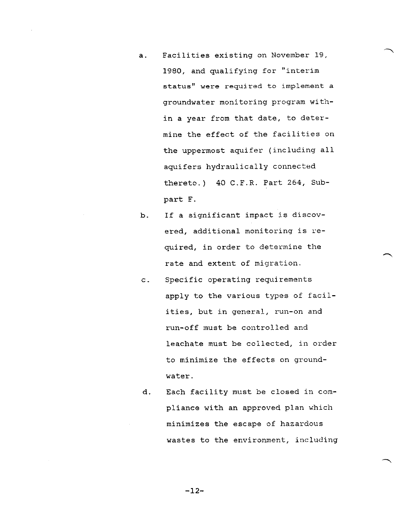- a. Facilities existing on November 19, 1980, and qualifying for "interim status" were required to implement a groundwater monitoring program within a year from that date, to determine the effect of the facilities on the uppermost aquifer (including all aquifers hydraulically connected thereto.) 40 C.F.R. Part 264, Subpart F.
- b. If a significant impact is discovered, additional monitoring is required, in order to determine the rate and extent of migration.
- c. Specific operating requirements apply to the various types of facilities, but in general, run-on and run-off must be controlled and leachate must be collected, in order to minimize the effects on groundwater.
- d. Each facility must be closed in compliance with an approved plan which minimizes the escape of hazardous wastes to the environment, including

 $-12-$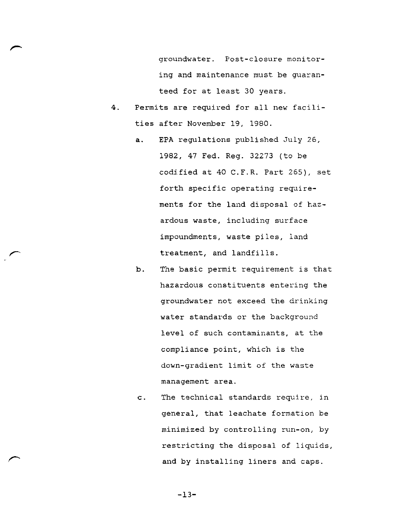groundwater. Post-closure monitoring and maintenance must be guaranteed for at least 30 years.

- 4. Permits are required for all new facilities after November 19, 1980.
	- a. EPA regulations published July 26, 1982, 47 Fed. Reg. 32273 (to be codified at 40 C.F.R. Part 265), set forth specific operating requirements for the land disposal of hazardous waste, including surface impoundments, waste piles, land treatment, and landfills.
	- b. The basic permit requirement is that hazardous constituents entering the groundwater not exceed the drinking water standards or the background level of such contaminants, at the compliance point, which is the down-gradient limit of the waste management area.
	- c. The technical standards require, in general, that leachate formation be minimized by controlling run-on, by restricting the disposal of liquids, and by installing liners and caps.

-13-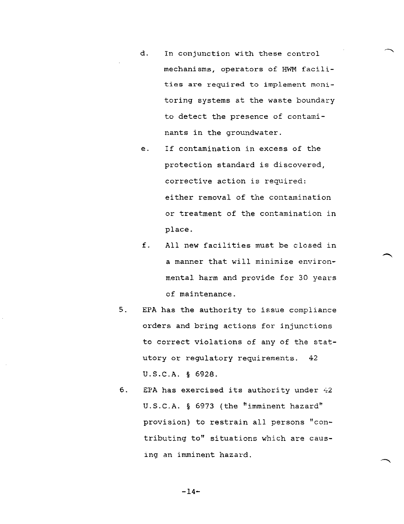- d. In conjunction with these control mechanisms, operators of HWM facilities are required to implement monitoring systems at the waste boundary to detect the presence of contaminants in the groundwater.
- e. If contamination in excess of the protection standard is discovered, corrective action is required: either removal of the contamination or treatment of the contamination in place.
- f. All new facilities must be closed in a manner that will minimize environmental harm and provide for 30 years of maintenance.
- S. EPA has the authority to issue compliance orders and bring actions for injunctions to correct violations of any of the statutory or regulatory requirements. 42 U.S.C.A. § 6928.
- 6. EPA has exercised its authority under  $42$ U.S.C.A. § 6973 (the "imminent hazard" provision) to restrain all persons "contributing to" situations which are causing an imminent hazard.

-14-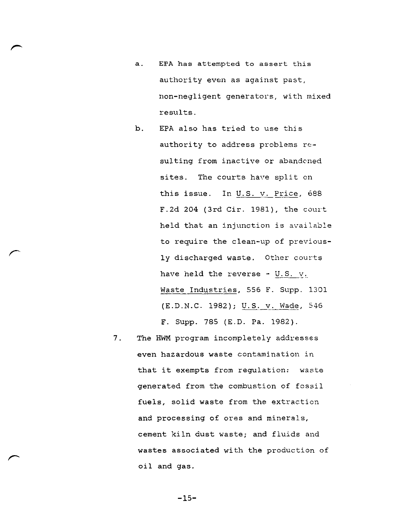- a. EPA has attempted to assert this authority even as against past, non-negligent generators, with mixed results.
- b. EPA also has tried to use this authority to address problems resulting from inactive or abandoned sites. The courts have split on this issue. In U.S. v. Price, 688 F.2d 204 (3rd Cir. 1981), the court held that an injunction is available to require the clean-up of previously discharged waste. Other courts have held the reverse - U.S. v. Waste Industries, 556 F. Supp. 1301 (E.D.N.C. 1982); U.S. v. Wade, 546 F. Supp. 785 (E.D. Pa. 1982).
- 7. The HWM program incompletely addresses even hazardous waste contamination in that it exempts from regulation: waste generated from the combustion of fossil fuels, solid waste from the extraction and processing of ores and minerals, cement kiln dust waste; and fluids and wastes associated with the production of oil and gas.

-15-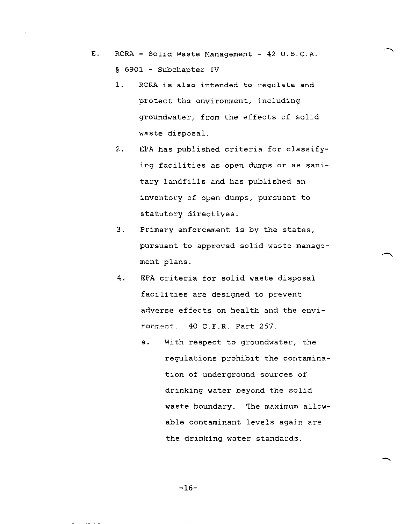- E. RCRA Solid Waste Management 42 U.S.C.A. § 6901 - Subchapter IV
	- 1. RCRA is also intended to regulate and protect the environment, including groundwater, from the effects of solid waste disposal.
	- 2. EPA has published criteria for classifying facilities as open dumps or as sanitary landfills and has published an inventory of open dumps, pursuant to statutory directives.
	- 3. Primary enforcement is by the states, pursuant to approved solid waste management plans.
	- 4. EPA criteria for solid waste disposal facilities are designed to prevent adverse effects on health and the environment. 40 C.F.R. Part 257.
		- a. With respect to groundwater, the regulations prohibit the contamination of underground sources of drinking water beyond the solid waste boundary. The maximum allowable contaminant levels again are the drinking water standards.

-16-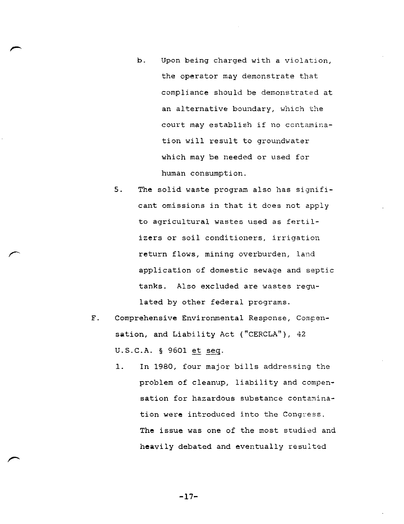- b. Upon being charged with a violation, the operator may demonstrate that compliance should be demonstrated at an alternative boundary, which the court may establish if no contamination will result to groundwater which may be needed or used for human consumption.
- 5. The solid waste program also has significant omissions in that it does not apply to agricultural wastes used as fertilizers or soil conditioners, irrigation return flows, mining overburden, land application of domestic sewage and septic tanks. Also excluded are wastes regulated by other federal programs.
- F. Comprehensive Environmental Response, Compensation, and Liability Act ("CERCLA"), 42 U.S.C.A. § 9601 et seq.
	- 1. In 1980, four major bills addressing the problem of cleanup, liability and compensation for hazardous substance contamination were introduced into the Congress. The issue was one of the most studied and heavily debated and eventually resulted

-17-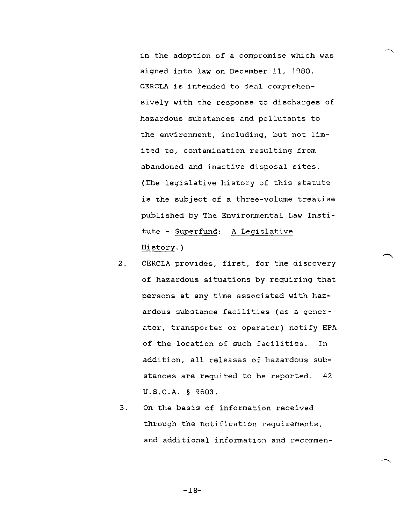in the adoption of a compromise which was signed into law on December 11, 1980. CERCLA is intended to deal comprehensively with the response to discharges of hazardous substances and pollutants to the environment, including, but not limited to, contamination resulting from abandoned and inactive disposal sites. (The legislative history of this statute is the subject of a three-volume treatise published by The Environmental Law Institute - Superfund: A Legislative History.)

- 2. CERCLA provides, first, for the discovery of hazardous situations by requiring that persons at any time associated with hazardous substance facilities (as a generator, transporter or operator) notify EPA of the location of such facilities. In addition, all releases of hazardous substances are required to be reported. 42 U.S.C.A. § 9603.
- 3. On the basis of information received through the notification requirements, and additional information and recommen-

-18-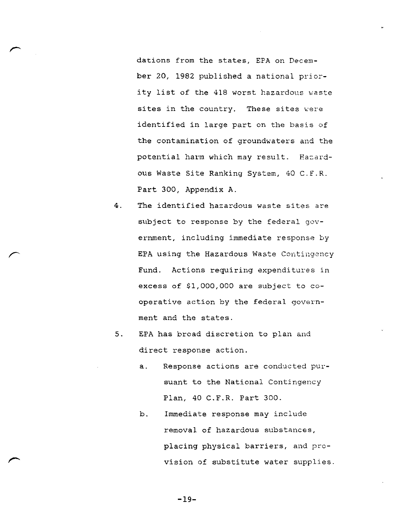dations from the states, EPA on December 20, 1982 published a national priority list of the 418 worst hazardous waste sites in the country. These sites were identified in large part on the basis of the contamination of groundwaters and the potential harm which may result. Hazardous Waste Site Ranking System, 40 C.F.R. Part 300, Appendix A.

- 4. The identified hazardous waste sites are subject to response by the federal government, including immediate response by EPA using the Hazardous Waste Contingency Fund. Actions requiring expenditures in excess of \$1,000,000 are subject to cooperative action by the federal government and the states.
- 5. EPA has broad discretion to plan and direct response action.
	- a. Response actions are conducted pursuant to the National Contingency Plan, 40 C.F.R. Part 300.
	- b. Immediate response may include removal of hazardous substances, placing physical barriers, and provision of substitute water supplies.

-19-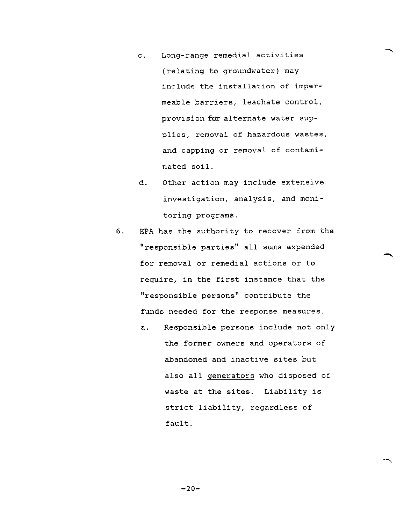- c. Long-range remedial activities (relating to groundwater) may include the installation of impermeable barriers, leachate control, provision for alternate water supplies, removal of hazardous wastes, and capping or removal of contaminated soil.
- d. Other action may include extensive investigation, analysis, and monitoring programs.
- 6. EPA has the authority to recover from the responsible parties" all sums expended for removal or remedial actions or to require, in the first instance that the responsible persons" contribute the funds needed for the response measures.
	- a. Responsible persons include not only the former owners and operators of abandoned and inactive sites but also all generators who disposed of waste at the sites. Liability is strict liability, regardless of fault.

 $-20-$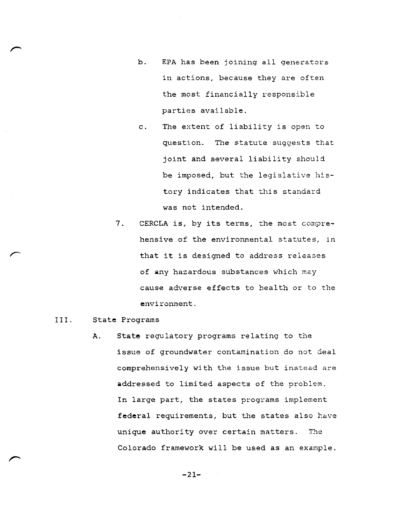- b. EPA has been joining all generators in actions, because they are often the most financially responsible parties available.
- c. The extent of liability is open to question. The statute suggests that joint and several liability should be imposed, but the legislative history indicates that this standard was not intended.
- 7. CERCLA is, by its terms, the most comprehensive of the environmental statutes, in that it is designed to address releases of any hazardous substances which may cause adverse effects to health or to the environment.

#### III. State Programs

A. State regulatory programs relating to the issue of groundwater contamination do not deal comprehensively with the issue but instead are addressed to limited aspects of the problem. In large part, the states programs implement federal requirements, but the states also have unique authority over certain matters. The Colorado framework will be used as an example.

 $-21-$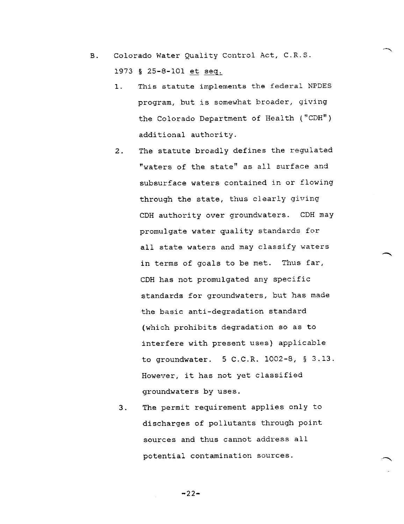- B. Colorado Water Quality Control Act, C.R.S. 1973 § 25-8-101 et seq.
	- 1. This statute implements the federal NPDES program, but is somewhat broader, giving the Colorado Department of Health ("CDH") additional authority.
	- 2. The statute broadly defines the regulated "waters of the state" as all surface and subsurface waters contained in or flowing through the state, thus clearly giving CDH authority over groundwaters. CDH may promulgate water quality standards for all state waters and may classify waters in terms of goals to be met. Thus far, CDH has not promulgated any specific standards for groundwaters, but has made the basic anti-degradation standard (which prohibits degradation so as to interfere with present uses) applicable to groundwater. 5 C.C.R. 1002-8, § 3.13. However, it has not yet classified groundwaters by uses.
	- 3. The permit requirement applies only to discharges of pollutants through point sources and thus cannot address all potential contamination sources.

 $-22-$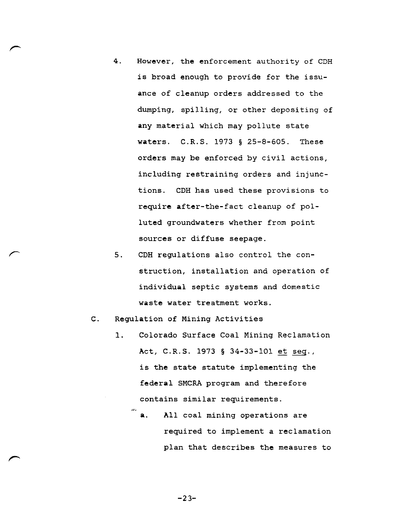- 4. However, the enforcement authority of CDH is broad enough to provide for the issuance of cleanup orders addressed to the dumping, spilling, or other depositing of any material which may pollute state waters. C.R.S. 1973 § 25-8-605. These orders may be enforced by civil actions, including restraining orders and injunctions. CDH has used these provisions to require after-the-fact cleanup of polluted groundwaters whether from point sources or diffuse seepage.
- 5. CDH regulations also control the construction, installation and operation of individual septic systems and domestic waste water treatment works.
- C. Regulation of Mining Activities
	- 1. Colorado Surface Coal Mining Reclamation Act, C.R.S. 1973 § 34-33-101 et seq., is the state statute implementing the federal SMCRA program and therefore contains similar requirements.
		- a. All coal mining operations are required to implement a reclamation plan that describes the measures to

 $-23-$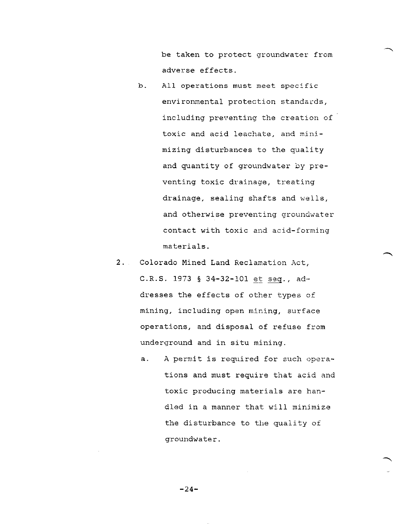be taken to protect groundwater from adverse effects.

- b. All operations must meet specific environmental protection standards, including preventing the creation of toxic and acid leachate, and minimizing disturbances to the quality and quantity of groundwater by preventing toxic drainage, treating drainage, sealing shafts and wells, and otherwise preventing groundwater contact with toxic and acid-forming materials.
- 2. Colorado Mined Land Reclamation Act, C.R.S. 1973 § 34-32-101 et seq., addresses the effects of other types of mining, including open mining, surface operations, and disposal of refuse from underground and in situ mining.
	- a. A permit is required for such operations and must require that acid and toxic producing materials are handled in a manner that will minimize the disturbance to the quality of groundwater.

 $-24-$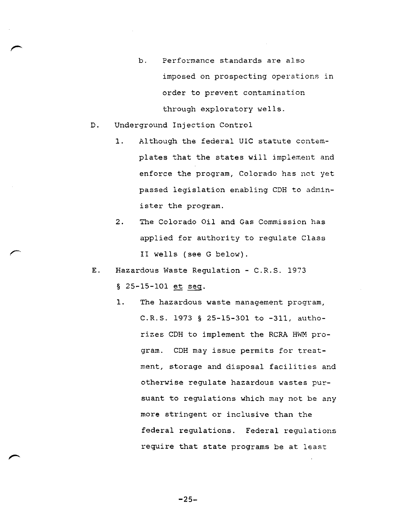- b. Performance standards are also imposed on prospecting operations in order to prevent contamination through exploratory wells.
- D. Underground Injection Control
	- 1. Although the federal UIC statute contemplates that the states will implement and enforce the program, Colorado has not yet passed legislation enabling CDH to administer the program.
	- 2. The Colorado Oil and Gas Commission has applied for authority to regulate Class II wells (see G below).
- E. Hazardous Waste Regulation C.R.S. 1973 § 25-15-101 et seq.
	- 1. The hazardous waste management program, C.R.S. 1973 § 25-15-301 to -311, authorizes CDH to implement the RCRA HWM program. CDH may issue permits for treatment, storage and disposal facilities and otherwise regulate hazardous wastes pursuant to regulations which may not be any more stringent or inclusive than the federal regulations. Federal regulations require that state programs be at least

 $-25-$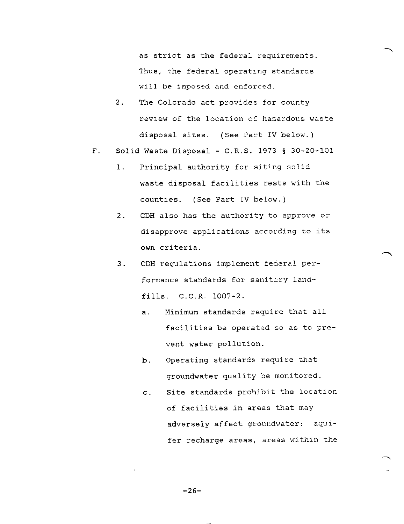as strict as the federal requirements. Thus, the federal operating standards will be imposed and enforced.

2. The Colorado act provides for county review of the location of hazardous waste disposal sites. (See Part IV below.)

F. Solid Waste Disposal - C.R.S. 1973 § 30-20-101

- 1. Principal authority for siting solid waste disposal facilities rests with the counties. (See Part IV below.)
- 2. CDH also has the authority to approve or disapprove applications according to its own criteria.
- 3. CDH regulations implement federal performance standards for sanitary landfills. C.C.R. 1007-2.
	- a. Minimum standards require that all facilities be operated so as to prevent water pollution.
	- b. Operating standards require that groundwater quality be monitored.
	- c. Site standards prohibit the location of facilities in areas that may adversely affect groundwater: aquifer recharge areas, areas within the

 $-26-$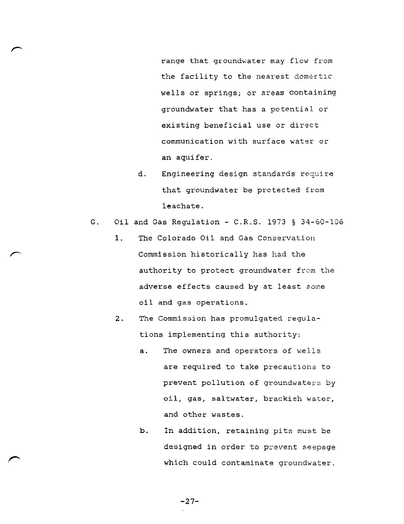range that groundwater may flow from the facility to the nearest domestic wells or springs; or areas containing groundwater that has a potential or existing beneficial use or direct communication with surface water or an aquifer.

- d. Engineering design standards require that groundwater be protected from leachate.
- G. Oil and Gas Regulation C.R.S. 1973 § 34-60-106
	- 1. The Colorado Oil and Gas Conservation Commission historically has had the authority to protect groundwater from the adverse effects caused by at least some oil and gas operations.
	- 2. The Commission has promulgated regulations implementing this authority:
		- a. The owners and operators of wells are required to take precautions to prevent pollution of groundwaters by oil, gas, saltwater, brackish water, and other wastes.
		- b. In addition, retaining pits must be designed in order to prevent seepage which could contaminate groundwater.

 $-27-$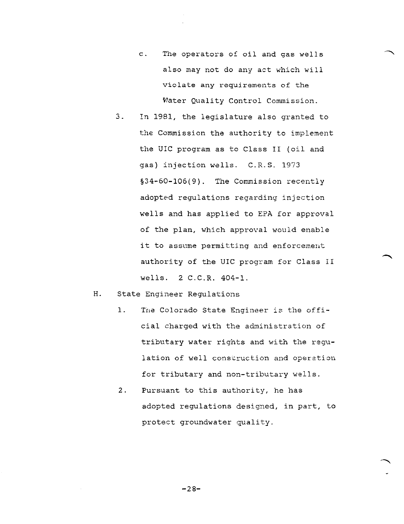- c. The operators of oil and gas wells also may not do any act which will violate any requirements of the Water Quality Control Commission.
- 3. In 1981, the legislature also granted to the Commission the authority to implement the UIC program as to Class II (oil and gas) injection wells. C.R.S. 1973 §34-60-106(9). The Commission recently adopted regulations regarding injection wells and has applied to EPA for approval of the plan, which approval would enable it to assume permitting and enforcement authority of the UIC program for Class II wells. 2 C.C.R. 404-1.
- H. State Engineer Regulations
	- 1. The Colorado State Engineer is the official charged with the administration of tributary water rights and with the regulation of well construction and operation for tributary and non-tributary wells.
	- 2. Pursuant to this authority, he has adopted regulations designed, in part, to protect groundwater quality.

 $-28-$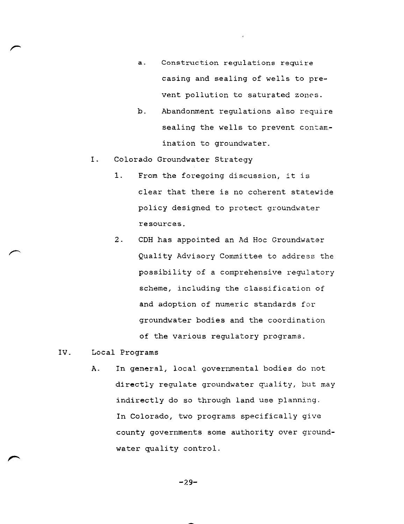- a. Construction regulations require casing and sealing of wells to prevent pollution to saturated zones.
- b. Abandonment regulations also require sealing the wells to prevent contamination to groundwater.
- I. Colorado Groundwater Strategy
	- 1. From the foregoing discussion, it is clear that there is no coherent statewide policy designed to protect groundwater resources.
	- 2. CDH has appointed an Ad Hoc Groundwater Quality Advisory Committee to address the possibility of a comprehensive regulatory scheme, including the classification of and adoption of numeric standards for groundwater bodies and the coordination of the various regulatory programs.

#### IV. Local Programs

A. In general, local governmental bodies do not directly regulate groundwater quality, but may indirectly do so through land use planning. In Colorado, two programs specifically give county governments some authority over groundwater quality control.

-29-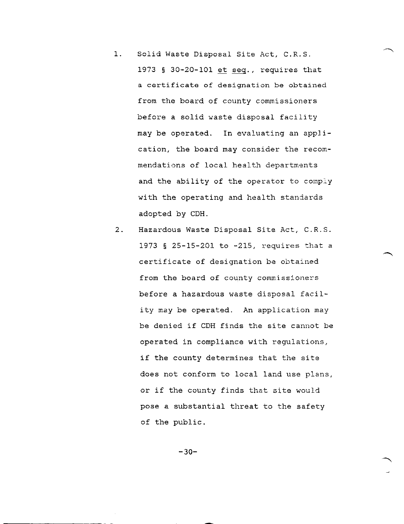- 1. Solid Waste Disposal Site Act, C.R.S. 1973 § 30-20-101 et seq., requires that a certificate of designation be obtained from the board of county commissioners before a solid waste disposal facility may be operated. In evaluating an application, the board may consider the recommendations of local health departments and the ability of the operator to comply with the operating and health standards adopted by CDH.
- 2. Hazardous Waste Disposal Site Act, C.R.S. 1973 § 25-15-201 to -215, requires that a certificate of designation be obtained from the board of county commissioners before a hazardous waste disposal facility may be operated. An application may be denied if CDH finds the site cannot be operated in compliance with regulations, if the county determines that the site does not conform to local land use plans, or if the county finds that site would pose a substantial threat to the safety of the public.

 $-30-$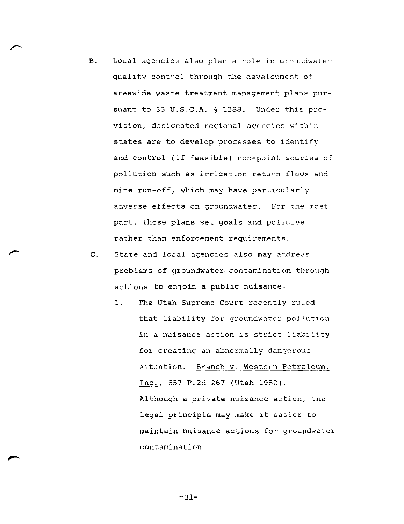- B. Local agencies also plan a role in groundwater quality control through the development of areawide waste treatment management plans pursuant to 33 U.S.C.A. § 1288. Under this provision, designated regional agencies within states are to develop processes to identify and control (if feasible) non-point sources of pollution such as irrigation return flows and mine run-off, which may have particularly adverse effects on groundwater. For the most part, these plans set goals and policies rather than enforcement requirements.
- C. State and local agencies also may address problems of groundwater. contamination through actions to enjoin a public nuisance.
	- 1. The Utah Supreme Court recently ruled that liability for groundwater pollution in a nuisance action is strict liability for creating an abnormally dangerous situation. Branch v. Western Petroleum, Inc., 657 P.2d 267 (Utah 1982). Although a private nuisance action, the legal principle may make it easier to maintain nuisance actions for groundwater contamination.

-31-